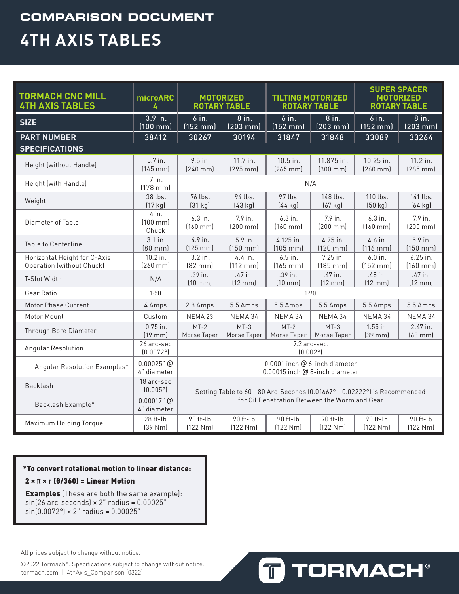### **COMPARISON DOCUMENT 4TH AXIS TABLES**

| <b>TORMACH CNC MILL</b><br><b>4TH AXIS TABLES</b>                | microARC<br>4                   | <b>MOTORIZED</b><br><b>TILTING MOTORIZED</b><br><b>ROTARY TABLE</b><br><b>ROTARY TABLE</b> |                               |                              | <b>SUPER SPACER</b><br><b>MOTORIZED</b><br><b>ROTARY TABLE</b> |                               |                               |
|------------------------------------------------------------------|---------------------------------|--------------------------------------------------------------------------------------------|-------------------------------|------------------------------|----------------------------------------------------------------|-------------------------------|-------------------------------|
| <b>SIZE</b>                                                      | 3.9 in.<br>$(100 \, \text{mm})$ | $6$ in.<br>$(152)$ mm                                                                      | 8 in.<br>$(203 \text{ mm})$   | 6 in.<br>$(152 \text{ mm})$  | 8 in.<br>$(203 \text{ mm})$                                    | $6$ in.<br>$(152 \text{ mm})$ | 8 in.<br>$(203$ mm $)$        |
| <b>PART NUMBER</b>                                               | 38412                           | 30267                                                                                      | 30194                         | 31847                        | 31848                                                          | 33089                         | 33264                         |
| <b>SPECIFICATIONS</b>                                            |                                 |                                                                                            |                               |                              |                                                                |                               |                               |
| Height (without Handle)                                          | 5.7 in.<br>$[145$ mm $]$        | 9.5 in.<br>$(240$ mm $)$                                                                   | 11.7 in.<br>$(295$ mm $)$     | 10.5 in.<br>$(265$ mm $)$    | 11.875 in.<br>$(300 \text{ mm})$                               | 10.25 in.<br>$(260$ mm $)$    | 11.2 in.<br>$(285$ mm $)$     |
| Height (with Handle)                                             | 7 in.<br>$[178$ mm $]$          | N/A                                                                                        |                               |                              |                                                                |                               |                               |
| Weight                                                           | 38 lbs.<br>(17 kg)              | 76 lbs.<br>(31 kq)                                                                         | 94 lbs.<br>(43 kg)            | 97 lbs.<br>$(44$ kg)         | 148 lbs.<br>$(67 \text{ kg})$                                  | 110 lbs.<br>(50 kg)           | 141 lbs.<br>(64 kg)           |
| Diameter of Table                                                | 4 in.<br>$[100$ mm $]$<br>Chuck | 6.3 in.<br>$[160$ mm $]$                                                                   | 7.9 in.<br>$[200$ mm $]$      | 6.3 in.<br>$[160$ mm $]$     | 7.9 in.<br>$(200 \text{ mm})$                                  | $6.3$ in.<br>$(160$ mm $)$    | 7.9 in.<br>$(200 \text{ mm})$ |
| Table to Centerline                                              | 3.1 in.<br>$[80$ mm $]$         | 4.9 in.<br>$(125$ mm $)$                                                                   | 5.9 in.<br>$(150$ mm $)$      | 4.125 in.<br>$(105$ mm $)$   | 4.75 in.<br>$(120$ mm $)$                                      | 4.6 in.<br>$(116$ mm $)$      | 5.9 in.<br>$(150$ mm $)$      |
| Horizontal Height for C-Axis<br><b>Operation (without Chuck)</b> | 10.2 in.<br>$(260$ mm $)$       | 3.2 in.<br>[82 mm]                                                                         | 4.4 in.<br>$(112 \text{ mm})$ | 6.5 in.<br>$(165$ mm $)$     | 7.25 in.<br>$(185$ mm $)$                                      | 6.0 in.<br>$(152 \text{ mm})$ | 6.25 in.<br>$(160$ mm $)$     |
| T-Slot Width                                                     | N/A                             | .39 in.<br>$(10 \text{ mm})$                                                               | .47 in.<br>(12 mm)            | .39 in.<br>$(10 \text{ mm})$ | .47 in.<br>$(12 \text{ mm})$                                   | .48 in.<br>$(12 \text{ mm})$  | .47 in.<br>$(12 \text{ mm})$  |
| Gear Ratio                                                       | 1:50                            | 1:90                                                                                       |                               |                              |                                                                |                               |                               |
| Motor Phase Current                                              | 4 Amps                          | 2.8 Amps                                                                                   | 5.5 Amps                      | 5.5 Amps                     | 5.5 Amps                                                       | 5.5 Amps                      | 5.5 Amps                      |
| Motor Mount                                                      | Custom                          | NEMA <sub>23</sub>                                                                         | NEMA 34                       | NEMA 34                      | NEMA 34                                                        | NEMA 34                       | NEMA 34                       |
| Through Bore Diameter                                            | $0.75$ in.<br>$(19$ mm $)$      | $MT-2$<br>Morse Taper                                                                      | $MT-3$<br>Morse Taper         | $MT-2$<br>Morse Taper        | $MT-3$<br>Morse Taper                                          | 1.55 in.<br>$(39$ mm $)$      | 2.47 in.<br>$(63$ mm $)$      |
| Angular Resolution                                               | 26 arc-sec<br>(0.0072°)         | 7.2 arc-sec.<br>(0.002°)                                                                   |                               |                              |                                                                |                               |                               |
| Angular Resolution Examples*                                     | $0.00025$ " @<br>4" diameter    | 0.0001 inch @ 6-inch diameter<br>0.00015 inch @ 8-inch diameter                            |                               |                              |                                                                |                               |                               |
| Backlash                                                         | 18 arc-sec<br>$(0.005^{\circ})$ | Setting Table to 60 - 80 Arc-Seconds (0.01667° - 0.02222°) is Recommended                  |                               |                              |                                                                |                               |                               |
| Backlash Example*                                                | $0.00017"$ @<br>4" diameter     | for Oil Penetration Between the Worm and Gear                                              |                               |                              |                                                                |                               |                               |
| Maximum Holding Torque                                           | 28 ft-lb<br>(39 Nm)             | 90 ft-lb<br>(122 Nm)                                                                       | 90 ft-lb<br>(122 Nm)          | 90 ft-lb<br>(122 Nm)         | 90 ft-lb<br>(122 Nm)                                           | 90 ft-lb<br>[122 Nm]          | 90 ft-lb<br>(122 Nm)          |

### \*To convert rotational motion to linear distance:

#### $2 \times \pi \times r$  ( $\theta$ /360) = Linear Motion

**Examples** (These are both the same example):  $sin(26 \text{ arc-seconds}) \times 2$ " radius = 0.00025"  $sin(0.0072^{\circ}) \times 2^{n}$  radius = 0.00025"

All prices subject to change without notice.

©2022 Tormach®. Specifications subject to change without notice. tormach.com | 4thAxis\_Comparison (0322)

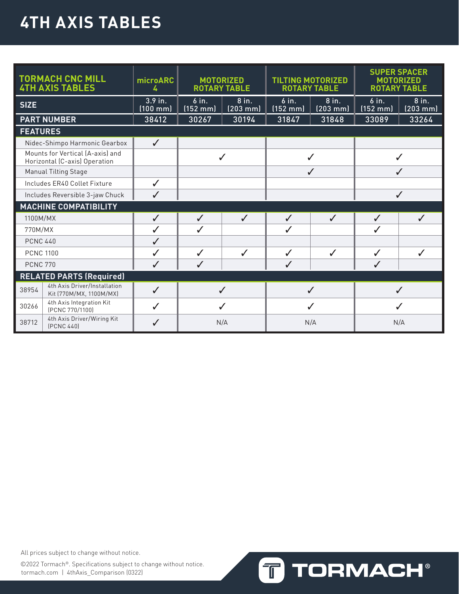# **4TH AXIS TABLES**

|                  | <b>TORMACH CNC MILL</b><br><b>4TH AXIS TABLES</b>                 | microARC<br>4                 | <b>MOTORIZED</b><br><b>ROTARY TABLE</b>                 |              | <b>TILTING MOTORIZED</b><br><b>ROTARY TABLE</b> |                             | <b>SUPER SPACER</b><br><b>MOTORIZED</b><br><b>ROTARY TABLE</b> |                        |
|------------------|-------------------------------------------------------------------|-------------------------------|---------------------------------------------------------|--------------|-------------------------------------------------|-----------------------------|----------------------------------------------------------------|------------------------|
| <b>SIZE</b>      |                                                                   | 3.9 in.<br>$(100 \text{ mm})$ | $6$ in.<br>8 in.<br>$(152 \text{ mm})$<br>$(203$ mm $)$ |              | $6$ in.<br>$(152 \, mm)$                        | 8 in.<br>$(203 \text{ mm})$ | $6$ in.<br>$(152$ mm $)$                                       | 8 in.<br>$(203$ mm $)$ |
|                  | <b>PART NUMBER</b>                                                | 38412                         | 30267                                                   | 30194        | 31847                                           | 31848                       | 33089                                                          | 33264                  |
| <b>FEATURES</b>  |                                                                   |                               |                                                         |              |                                                 |                             |                                                                |                        |
|                  | Nidec-Shimpo Harmonic Gearbox                                     | $\checkmark$                  |                                                         |              |                                                 |                             |                                                                |                        |
|                  | Mounts for Vertical (A-axis) and<br>Horizontal (C-axis) Operation |                               | $\checkmark$                                            |              | J                                               |                             |                                                                |                        |
|                  | <b>Manual Tilting Stage</b>                                       |                               |                                                         |              | $\checkmark$                                    |                             | J                                                              |                        |
|                  | Includes ER40 Collet Fixture                                      | $\checkmark$                  |                                                         |              |                                                 |                             |                                                                |                        |
|                  | Includes Reversible 3-jaw Chuck                                   | J                             |                                                         |              |                                                 |                             | $\checkmark$                                                   |                        |
|                  | <b>MACHINE COMPATIBILITY</b>                                      |                               |                                                         |              |                                                 |                             |                                                                |                        |
| 1100M/MX         |                                                                   | $\checkmark$                  | $\checkmark$                                            | $\checkmark$ | $\checkmark$                                    | $\checkmark$                | $\checkmark$                                                   | $\checkmark$           |
| 770M/MX          |                                                                   | ✓                             | J                                                       |              | ✓                                               |                             | J                                                              |                        |
| <b>PCNC 440</b>  |                                                                   | ✓                             |                                                         |              |                                                 |                             |                                                                |                        |
| <b>PCNC 1100</b> |                                                                   | ✓                             | ✓                                                       | J            | $\checkmark$                                    | $\checkmark$                | ✓                                                              | J                      |
| <b>PCNC 770</b>  |                                                                   | ✓                             | ✓                                                       |              | ✓                                               |                             |                                                                |                        |
|                  | <b>RELATED PARTS (Required)</b>                                   |                               |                                                         |              |                                                 |                             |                                                                |                        |
| 38954            | 4th Axis Driver/Installation<br>Kit (770M/MX, 1100M/MX)           | $\checkmark$                  | ✓                                                       |              | $\checkmark$                                    |                             |                                                                |                        |
| 30266            | 4th Axis Integration Kit<br>[PCNC 770/1100]                       | $\checkmark$                  |                                                         |              |                                                 |                             |                                                                |                        |
| 38712            | 4th Axis Driver/Wiring Kit<br><b>(PCNC 440)</b>                   | ✓                             | N/A                                                     |              | N/A                                             |                             | N/A                                                            |                        |

All prices subject to change without notice.